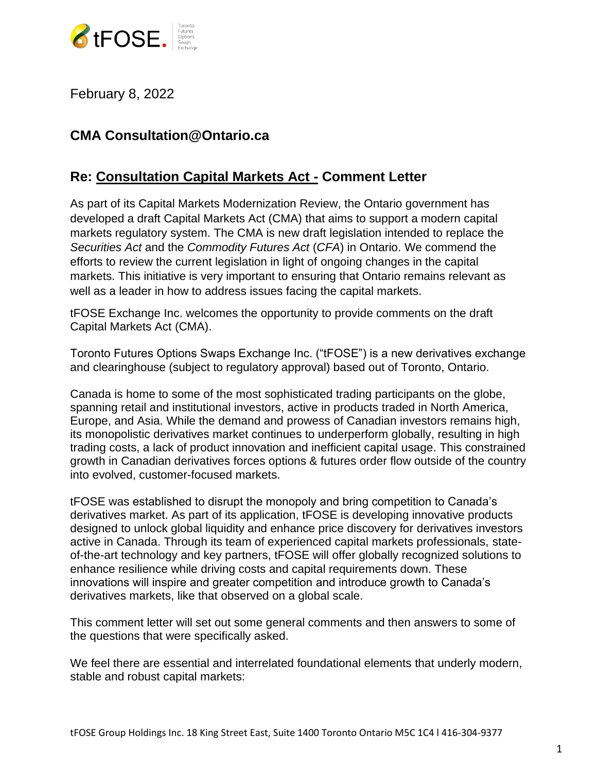

February 8, 2022

## **CMA Consultation@Ontario.ca**

## **Re: Consultation Capital Markets Act - Comment Letter**

As part of its Capital Markets Modernization Review, the Ontario government has developed a draft Capital Markets Act (CMA) that aims to support a modern capital markets regulatory system. The CMA is new draft legislation intended to replace the *Securities Act* and the *Commodity Futures Act* (*CFA*) in Ontario. We commend the efforts to review the current legislation in light of ongoing changes in the capital markets. This initiative is very important to ensuring that Ontario remains relevant as well as a leader in how to address issues facing the capital markets.

tFOSE Exchange Inc. welcomes the opportunity to provide comments on the draft Capital Markets Act (CMA).

Toronto Futures Options Swaps Exchange Inc. ("tFOSE") is a new derivatives exchange and clearinghouse (subject to regulatory approval) based out of Toronto, Ontario.

Canada is home to some of the most sophisticated trading participants on the globe, spanning retail and institutional investors, active in products traded in North America, Europe, and Asia. While the demand and prowess of Canadian investors remains high, its monopolistic derivatives market continues to underperform globally, resulting in high trading costs, a lack of product innovation and inefficient capital usage. This constrained growth in Canadian derivatives forces options & futures order flow outside of the country into evolved, customer-focused markets.

tFOSE was established to disrupt the monopoly and bring competition to Canada's derivatives market. As part of its application, tFOSE is developing innovative products designed to unlock global liquidity and enhance price discovery for derivatives investors active in Canada. Through its team of experienced capital markets professionals, stateof-the-art technology and key partners, tFOSE will offer globally recognized solutions to enhance resilience while driving costs and capital requirements down. These innovations will inspire and greater competition and introduce growth to Canada's derivatives markets, like that observed on a global scale.

This comment letter will set out some general comments and then answers to some of the questions that were specifically asked.

We feel there are essential and interrelated foundational elements that underly modern, stable and robust capital markets: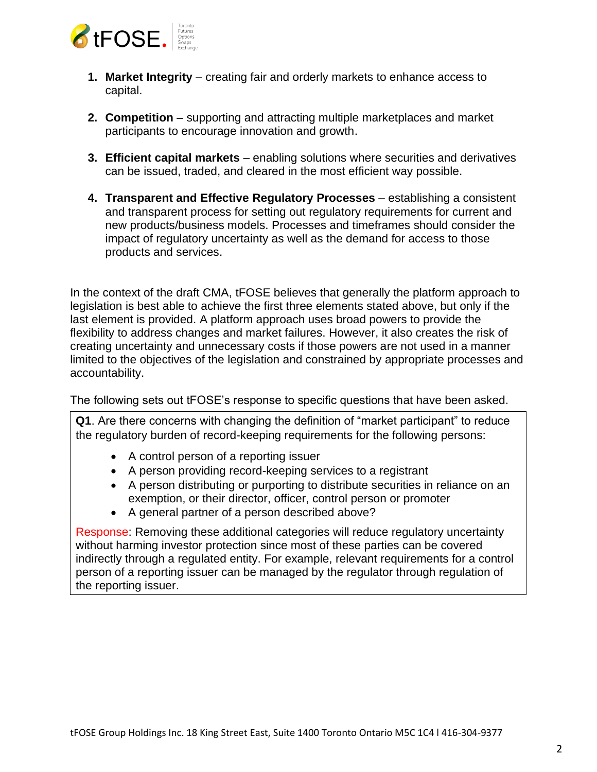

- **1. Market Integrity** creating fair and orderly markets to enhance access to capital.
- **2. Competition** supporting and attracting multiple marketplaces and market participants to encourage innovation and growth.
- **3. Efficient capital markets** enabling solutions where securities and derivatives can be issued, traded, and cleared in the most efficient way possible.
- **4. Transparent and Effective Regulatory Processes** establishing a consistent and transparent process for setting out regulatory requirements for current and new products/business models. Processes and timeframes should consider the impact of regulatory uncertainty as well as the demand for access to those products and services.

In the context of the draft CMA, tFOSE believes that generally the platform approach to legislation is best able to achieve the first three elements stated above, but only if the last element is provided. A platform approach uses broad powers to provide the flexibility to address changes and market failures. However, it also creates the risk of creating uncertainty and unnecessary costs if those powers are not used in a manner limited to the objectives of the legislation and constrained by appropriate processes and accountability.

The following sets out tFOSE's response to specific questions that have been asked.

**Q1**. Are there concerns with changing the definition of "market participant" to reduce the regulatory burden of record-keeping requirements for the following persons:

- A control person of a reporting issuer
- A person providing record-keeping services to a registrant
- A person distributing or purporting to distribute securities in reliance on an exemption, or their director, officer, control person or promoter
- A general partner of a person described above?

Response: Removing these additional categories will reduce regulatory uncertainty without harming investor protection since most of these parties can be covered indirectly through a regulated entity. For example, relevant requirements for a control person of a reporting issuer can be managed by the regulator through regulation of the reporting issuer.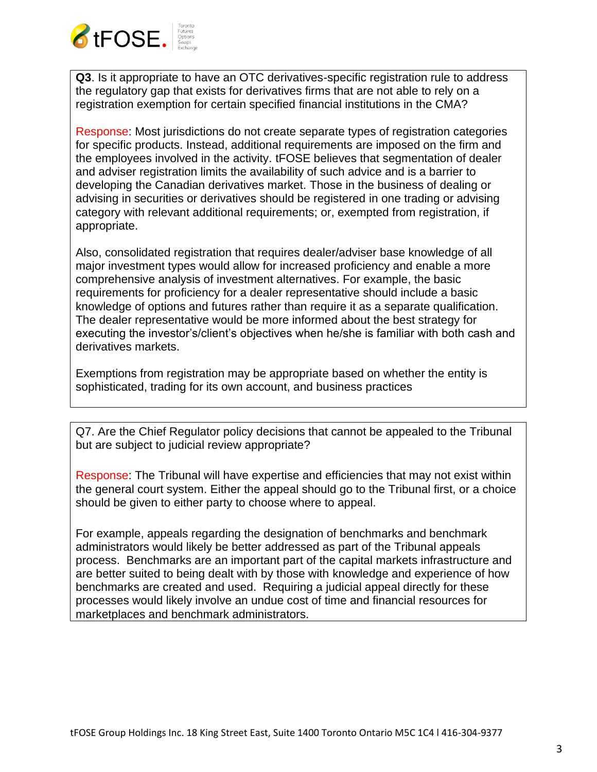

**Q3**. Is it appropriate to have an OTC derivatives-specific registration rule to address the regulatory gap that exists for derivatives firms that are not able to rely on a registration exemption for certain specified financial institutions in the CMA?

Response: Most jurisdictions do not create separate types of registration categories for specific products. Instead, additional requirements are imposed on the firm and the employees involved in the activity. tFOSE believes that segmentation of dealer and adviser registration limits the availability of such advice and is a barrier to developing the Canadian derivatives market. Those in the business of dealing or advising in securities or derivatives should be registered in one trading or advising category with relevant additional requirements; or, exempted from registration, if appropriate.

Also, consolidated registration that requires dealer/adviser base knowledge of all major investment types would allow for increased proficiency and enable a more comprehensive analysis of investment alternatives. For example, the basic requirements for proficiency for a dealer representative should include a basic knowledge of options and futures rather than require it as a separate qualification. The dealer representative would be more informed about the best strategy for executing the investor's/client's objectives when he/she is familiar with both cash and derivatives markets.

Exemptions from registration may be appropriate based on whether the entity is sophisticated, trading for its own account, and business practices

Q7. Are the Chief Regulator policy decisions that cannot be appealed to the Tribunal but are subject to judicial review appropriate?

Response: The Tribunal will have expertise and efficiencies that may not exist within the general court system. Either the appeal should go to the Tribunal first, or a choice should be given to either party to choose where to appeal.

For example, appeals regarding the designation of benchmarks and benchmark administrators would likely be better addressed as part of the Tribunal appeals process. Benchmarks are an important part of the capital markets infrastructure and are better suited to being dealt with by those with knowledge and experience of how benchmarks are created and used. Requiring a judicial appeal directly for these processes would likely involve an undue cost of time and financial resources for marketplaces and benchmark administrators.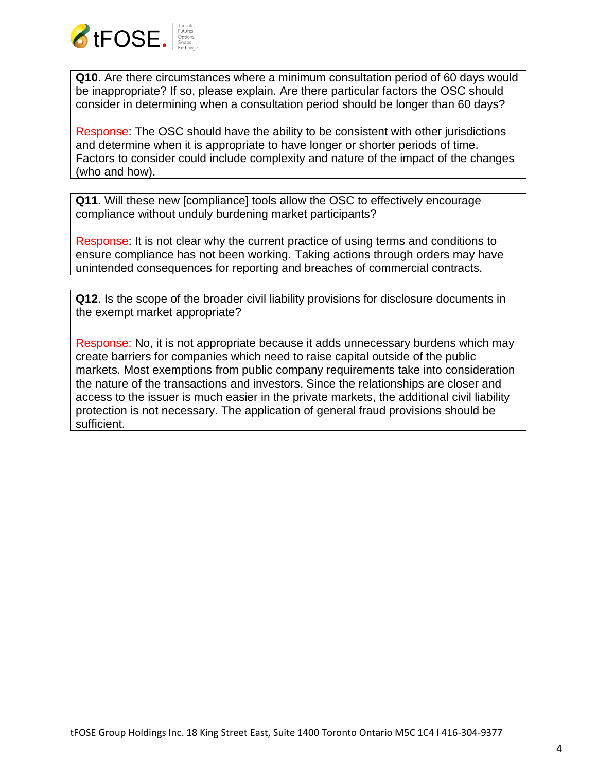

**Q10**. Are there circumstances where a minimum consultation period of 60 days would be inappropriate? If so, please explain. Are there particular factors the OSC should consider in determining when a consultation period should be longer than 60 days?

Response: The OSC should have the ability to be consistent with other jurisdictions and determine when it is appropriate to have longer or shorter periods of time. Factors to consider could include complexity and nature of the impact of the changes (who and how).

**Q11**. Will these new [compliance] tools allow the OSC to effectively encourage compliance without unduly burdening market participants?

Response: It is not clear why the current practice of using terms and conditions to ensure compliance has not been working. Taking actions through orders may have unintended consequences for reporting and breaches of commercial contracts.

**Q12**. Is the scope of the broader civil liability provisions for disclosure documents in the exempt market appropriate?

Response: No, it is not appropriate because it adds unnecessary burdens which may create barriers for companies which need to raise capital outside of the public markets. Most exemptions from public company requirements take into consideration the nature of the transactions and investors. Since the relationships are closer and access to the issuer is much easier in the private markets, the additional civil liability protection is not necessary. The application of general fraud provisions should be sufficient.